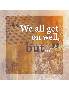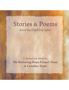### Stories & Poems from the Darkley area

Collected and edited by The Restoring Hope Project Team at Crossfire Trust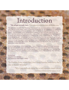### Introduction

#### "We all get on well, but..." is a collection of stories from the Darkley area.

We, within the Crossfire Trust Restoring Hope project, are very honoured to be able to capture just a little bit of this history, culture or personal journey and are very grateful to our neighbours for their willingness to participate and share with us. During the experience of collecting the stories. I became aware of the central theme of getting on well, but at the back of my mind were imprinted some of the worst atrocities of the conflict, and I wondered how they happened to people who shared the same school, a dance on the street or work in the mill. People obviously did get on well... but perhaps if we can learn anything from this, we need to get on even better if we are to prevent anything like the Troubles from happening again. The good relations were not enough; we need to value and defend these relations and not take them for granted. otherwise sectarianism, like a weed, will creep and choke the life and the love we all need to get on even better than before.

Some of these stories come in poem form. Some of them were gathered through interviews and we have put them down onto paper, writing them very much as we heard them in a way that, hopefully, conveys the spirit and the manner in which they were told to us. We hope that vou eniov reading them and that it gives vou a clearer picture of life in Darkley, then and now.

lan Bothwell **Crossfire Trust Director** and Restoring Hope Project Leader

"In Darkley Row, where they don't keep Sunday, and every day's like an Easter Monday."

> "It's a very difficult thing for to tell a person much about Darkley if they never were in it."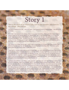#### This is the story of an elderly lady, now in her nineties, who lives in the village. She told us:

I've lived in Darkley all my life. I was born here. I was born in a house in the top street. I was all my life in Darkley.

As a child, I was kept at home raising childer, that's what I was doing. There was nine of us. I'd go to school a while and the Master used to say, Master Clark, "You're welcome back, Mary, you're welcome back!" I got no schooling at all! Darkley Primary School - it was all right. The teachers were Miss McGurke and Master Clark – he was a nice man. He was always laughing and if I'd do something wrong, he'd say, "Oh Mary, you've got a whole lot of marks agin ye!" The school was heated by just a fire, a big stove, you know. It would have heated all the rooms.

Och, living in the village was all right. Fellas used to play at the corner there, after they all come from Mass of a Sunday morning. On Sunday they were playing there until dinner time. You know, up the steps where you go to High Street. It was lovely there.

There was no running water in the houses in those days. You had to go to the spout down here, d'y'see, for to carry the water. It's at the dam there, a wee tap. On the Sunday nights they used to help me carry water from the dam in a bath to wash with Monday morning. And at that time you only got two stone of coal, that's all you could buy. I used to go up to Patterson's there and get two stone of coal and carry it down on my back for the fire and my father would gather sticks and cut trees. At that time you could cut and gather sticks out of the Planting to make the coal last.

I worked in the mill from I was fifteen, I was a spinner. I got thirty bob! And out of that, two shillings was all I got for Saturday night to go to Keady. When I was fifteen us girls all used to go to Keady. Went up in a wee old shop, Boyd's; an old woman had the shop near Dr. Johnson – we used to go and get sweets there. All the boys used to come from Granemore and laugh and talk and craic and pass the night. In the mill my boss was Johnny Ewart. Oh, Johnny! Johnny watched you like a hawk. He was worse than Harold Calvert! He was worse! He used to come in and he'd say, "Have you the rent today? Have you the rent?" "I haven't it, Johnny; you may wait 'til the middle of the week." And every time I'm late and I wait 'til the middle of the week and then it goes up, and then it goes up.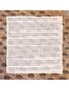Sometimes you'd be a-feared of him putting you out or doing something to the house. This is the house I lived in, and my uncle lived in it, and my mother.

There used to be a horn for the mill. They used to blow the horn in the morning. It blew three times, the last one blew at half-eight. And you'd have to get down the brae. I had to run down the brae; down and away across where the office was. Away on to that site there where the spinning mill was. I don't think I was ever late; no, I don't think so, now. We'd all have hurried to get in because if you'd seen Johnny, he'd follow you into the loom, into the mill, and give you a telling-off: "What'ya up to? What're you doing?"

When the mill closed, och, what could we do? Oh, I worked in Bessbrook and Milford, aye it was Milford. A couple of us. Me and my granddaughter there worked in Milford, and worked up in Newry, in Bessbrook. We got the bus.

During the Troubles, oh, I remember the Black and Tans coming to the corner there. And the Specials, too. But what could you do? You wouldn't go out at night; after dark nobody would be out. Nobody was allowed out or anything, you know? And there was no border, not at all – no border till this trouble all started, you know. It's the ones that's going about with nothing to do that's the cause of it all.

There used to be a dance, at the hall there. It would be Sunday night and anybody at all could go to it. I used to go with Mrs McClean up at the high corner there. Mrs McClean lived in those big houses up there, and her daughter and all. And we used to go round the lough for a walk every evening. Mrs McClean – she was an awful nice woman. I used to help with Mrs Mark; she lived up where Malachy Powell lived. She lived up the stairs and I used to carry her water in the morning before I'd go to school and fill a bath in the thing for her. And she'd say, "You go to school now, when you're finished with me." You'd be making excuses to stay at home - "oh my skirt's wet and it was in the bath, when I carried the water." But she'd put you up to school!

And then we went to Mass in Keady - a couple of us went to Keady - and you had to walk to it. And you had to go to Mass, we had to walk to Mass, too, so we had. We used to go to Keady, a couple of us all, and we'd all get together coming home. We had to walk it home – no buses or anything. We had to walk to Keady - two mile there and two mile home again.

What do I like about Darkley? Och, I wouldn't like to leave it now; I'm here a long time. I'd go down to my son there, in Craigavon, but you like to get back to your own place, so you do.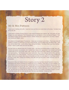### **Mr & Mrs Pattison**

I have lived in Darkley all my life. I was born here and then we moved down to the shop. I've been here all my life, like.

I went down to Darkley Primary School. It was mixed Protestant and Catholic, like. And when you had Religion you were separated. The Protestants went into the Master's in the morning for Religion. That was Master Knapps and then Master McCall. Darkley School was a great school; you know, nobody ever mentioned religion, never.

We walked to Armaghbreague Presbyterian – there was no transport out to there. There was a bus left Darkley for Keady at I think about ten thirty in the morning. But we walked down the Black Path - what they call the Black Path – up the Slither Steps and up the Slither. The Black Path is just from Darkley House - there's a path down and onto the Slither.

We didn't feel any different when the Troubles came. We never let anything bother us really, like, and nobody ever passed any remarks, and I worked down there at the egg factory in the canteen and Neville worked with his firm and in both cases, well, I would say, it was about 98% Catholic, and nobody ever, ever said anything. The Troubles were never mentioned. Like, it was a Roman Catholic firm, and they were the best to be in than anybody. They'd be as good as a Protestant. Like, there was no difference, really. And, funnily enough, when we go to Australia and when we were away for about three months at a time, a lady, Mary Jordan from Darkley, looks after here and she does it really well and I trust her completely.

My parents' shop was between the two bungalows, down the road there beside Keenan's. It was my grandfather that started it because he worked the Co-op in Darkley. There was a Co-op in Darkley; my grandfather worked the Co-op and him and old Calvert fell out and then he built the shop up here. You got your groceries and all in it. But, like, I mean that was a long time before our times. I don't remember it, but I remember my father telling me about it. My father worked in the shop – he never worked in the mill. He sold meal and all the rest of it, and coal. And then he'd a horse, and Master Nugent, he went round the country with the meal and the coal. His name was Matthew – known as Matt.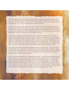There was one, two, three, there were four shops in Darkley. We were quite busy. There was Leers had a shop, Ena Douglas had a shop, Peggy McGee had a shop, and the Post Office. There was a general store in the Post Office. I remember the Lockharts were in it, and then Billy Flanagan and then Pat Mackin got it. But, sad to say, Darkley has deteriorated since then.

There were four shops and then there was a cinema – where someone came to show pictures on a Friday night up in what was the school. There was a school down in the Main Street where there are two big houses now just as you go into the village. Health and safety wouldn't let it now. And then of a Sunday, Johnny Ewart would have a Sunday School up there too. Johnny Ewart would have been a shareholder in the mill, I would say, in the time Darkley was going.

I remember the mill going. I served my time with them, well, a bit of my time with them. Ah well, I served my time to be a joiner, a carpenter. I fixed the houses up round Darkley, you know, because Darkley mill owned the houses, and you done things in the mill, too. You had a lathe and you done the wheels for the spindles, and all stuff like that. When I worked in Darkley I had sixteen shillings home with me for a week's work. You had to do five years before you were qualified. I was only in it, well it wasn't that long; and then I went to Belfast. An uncle of mine, my father's brother, was in Belfast. So I went. I was away when the mill closed. I went to Belfast there, after that. It closed in 1959.

I don't think relationships were affected during the Troubles, not really, no never. A UDR man lived in the village, that's right. He was shot. He was shot down the Annyale Road. It had some affect, I suppose. He was an awful, awful nice man. But, I mean, he had quite a big funeral from Darkley from both sides. And now, look, our children went to school up in Darkley all through the Troubles, and nobody ever said, like anything to them - which was good.

When the Mountain Lodge Church was attacked, that was bad. We were at Armaghbreague that night. It was the Revd. Lynch who was the minister then. But the service was cut short, because the police came in and told us to get out because there was a shooting at Mountain Lodge. Oh, it was tragic. I think there was three men killed. Harold Browne is buried up in Armaghbreague. His wife, Elizabeth, is buried there beside here husband. His son was at our church that night; his youngest son, David. And I remember there was a memorial service for Elizabeth down in the big house. Victor and Sandra Johnson were at it and they came up here after, and said it was very nice. Victor would drive now and again for William Browne, for Bill Browne. Ruby was Johnson before she was married.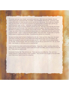The border road was never closed - you could've went over. Well, there was Customs. But you could've gone over unapproved road, no trouble! Just immediately after the war – you know, it was a good while before the rationing went and we were all very, very young. You'd walk up to Nesbitt's shop over the border and it was funny and there'd be gangs going on a Friday night, and like you would bring back sugar and tea. I remember my mother buying a set of china.

There were three shops just there. Nesbitt's was the main one. She was a very nice lady. My nieces had a shop just over the border. But I remember a crowd of us going. You know, if you'd have met the Police or anything you were laughing, trying to hide on them. They never said anything, because, I mean, you weren't really doing anything wrong you were only bringing back your own supplies like a pound of butter. I mean, it wasn't for the black market. Times were hard. I'd say it was a long time before sweets or anything went off ration. Everything was rationed for a long time.

We were born here, and I've lived in Darkley all my life, too. I lived up in the village, like. We would never think of moving. It's funny, all my sisters and brothers still say they come from Darkley, like though they're away for years and years and years out of it. I don't think of Darkley being isolated no, not really. Funnily enough, when you've lived in it all your life you never think of it. No, you never think - feel isolated, no. Not when you've a view like that!

I don't honestly know what could be done with Darkley. 'Cause like, I mean, I would go down to the village now very seldom, because I used to walk down to the Post Office, and now there is no Post Office. That's what we could do with!

Everybody's friendly, like. They all know you. There was never any difference. Yes, and if you needed anybody to help you there is never a problem. They all seem to be so glad to see each other even if they haven't been in touch for a long time.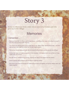Some recollections from a lady who is now in her sixties and who grew up in the village:

### **Memories**

### I remember...

- ... Nathanial Moorcroft or Thenny, as he was known switching on the water at the lake for power in the mill at half past four in the mornings.
- ... The cricket club playing down on the cricket field by the "Slither Steps" and the Black Path. And then later on the B-Men used the cricket field for their target practice.
- ... The Darkley houses being sold after the mill closed for five pounds and two pounds ten shillings!
- ... Darkley had shops and petrol pumps and a taxi company! And cinema shows sometimes on Friday nights in the Old School.
- ... the cold "Spout" beside the big chimney. And the hot "Spout" from steam from the factory.
- ... women queuing with buckets to get hot water for washing clothes.
- ... that school was mixed all through the sixties and seventies and eighties and all the children were very happy together.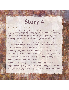#### This lady, also in her sixties, told us her story:

Well, I've lived all my life now in Darkley - 64 years. I went to school here and I have good memories of the school. There was Master McCall – he was the Principal; and the other teachers – well, there was a Mrs Renaghan and a Miss McGurk and a Miss Rafferty. There was a stove for the heating; it was solid fuel and it was in Miss Rafferty's class and it had to be lit every day. The caretaker would have done that. I remember once going to sports in Armagh, and we went on a lorry till Armagh. Now, what I can remember about it was, it was on the Mall, it was sports on the Mall, and we all went. I didn't do any exams though; I just came out of school at, what, fourteen or fifteen.

My parents worked in the mill. It was all right, but it was hard, y'know. My mother worked in the spinning room, and my father worked – now, it was at this front end of it – I think it was the weaving he was at, or the bobbins or something like that. But I know my mother worked at the spinning. They got a house with the job, y'know. Whenever they got married they would've got a house out of it.

I remember the dances on the main street of Darkley. It would be outside Malachy Toal's house as he was the one with the light so you could see what you were doing. The love chair would be pulled out - a long kind of seat with a low back - and the music would begin. The cards would come out and the craic would be mighty. There was no difference in anyone's lifestyle, we all lived simply and I remember my Father's favourite dinner. He would warm the blue and white bowl and put a chopped onion in the bottom, cover it with potato and a slice of butter. It was his kind of Sunday dinner. He drove for Tassagh creamery for 37 years while my mother worked in the mill.

I remember, during the Troubles - I think it happened about '68 or '69 and we were only married, y'know, and starting a family. And I remember my third boy was born and we were coming up the road in the ambulance from Lurgan Hospital up till Armagh and there was another woman in the ambulance with me and there were a lot of soldiers on the road. They didn't annoy me, y'know, but this woman, she says, "What are we taking our children into this world for?" That was one thing that stuck in my mind, and that was my third boy, y'know. But I never had any qualms with it.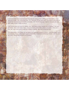I remember when there was that bomb that killed the young people walking back from Keady. It did affect me, surely. That would have been '79? That was '79 that happened. That was an awful thing on everybody now; you know it did affect everybody. But you had your faith to get you through; just your faith, really, y'know; it kept you going.

I don't know about the future for Darkley, now. We'd need a shop, wouldn't we, in Darkley? We need something. We would need a shop - if only to run for a pint of milk, y'know, or a paper. There was a time, like, when there was an awful lot of shops in Darkley. But that's a long time ago.

The relationships in the village are very good, very good with everyone, y'know. I just think there's good in everybody, y'know; really, there's good in everybody. I would trust everybody, I would - one hundred [per cent]. Round here would be one hundred.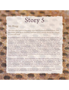### Mr Hogg

The man who told us this story now lives in Newtownhamilton, but his father grew up in Darkley and had many stories about the village, as you will read.

My grandfather worked in the mill. I don't now remember what his job was, but he worked in the mill. I had this photo and in it he had these like webs or something, over his arm; he was hanging them up. But there was a time when the shaft of the mill was exposed - the cover had been taken off it. And his arm in some way got caught and got pulled completely out of his body. And he walked down the stairs into the boiler house, and he sat down. And his words to the boiler man – because this was in the paper, I remember this bit – he said to the boiler man, whoever it was, "My God, I'm done!" And when he looked round, you could see my grandfather's heart. And they took him to Armagh County Infirmary, which later became Armagh City Hospital, which is now defunct, and they just packed him round with cotton wool, for they couldn't do anything. And he died the next  $day -$  he must have been a strong man. And before the coffin was closed, where he lived in 82 Moss Road, Darkley, one of the neighbours had the arm wrapped in a tarpaulin in their house and they just went up and set it in beside him in the coffin. I don't know that my grandmother maybe saw that being done, but she knew what had killed him. And the mill owners were totally and utterly at fault.

It went to court, it did, of course. And my grandmother was offered eight hundred pounds in the court, and the Judge spoke down to her from his chair and he said, "Mrs Hogg, this court has given you the maximum that it can give - eight hundred pounds. But do remember, there are higher courts." In other words, putting it in my grandmother's mind to take it to the High Court, but Mr Best, her solicitor advised her that she could lose it. She'd already got eight hundred, and my grandmother was an uneducated woman, worked in the mill and had three or four small children to rear, and she was afraid.

My Grandmother went back to work in the mill and she reared her children as best she could. And then, she had a niece she was fond of, and she loaned the money to the niece to buy a farm.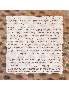The niece's husband paid her every penny of it back, but she said herself, she never got the good of the money – now that'd be the wrong way to put it – how would you ever get good of – as the old people would call it – 'blood money'? But the niece's husband paid her back, as Grandmother said, in dribs and drabs. He paid it all back to her, but it wasn't the same. However, she didn't regret doing it and he did awfully well in the farming world, but it was Grandmother who helped the niece.

My father had a great fondness for Darkley. He just loved it, and my uncle was more so. He'd gone to Canada, but when he came home from Toronto, in the airport he was ranting and raving about getting to Darkley. He would just have actually loved to have lived in it. And to me, I detested the place; it was awful run-down. Yet my father, he loved all the people in it, he knew them every one; he could have told me all sorts of things that happened. There was an old lady called Bella Gibson, she was very dirty and she had a jug. And my father had gone to her house as a young boy to do messages. You see, his father was dead of course. And Bella, he said, put the jug to her mouth and drained the last of the milk out of it and sent him to the dairy to get her a jug of milk. And when he arrived at the dairy, there was a queue of young people waiting to get their milk for their father or their mother or whatever, and he was going to be the last, but what did he do? The jug was stinking! And what did he do? He held it up in front of their noses, and they all went away! You see? And when the hatch went up, so he said – the dairy maid was Nessie McAnally, but that's just a fluke that I can remember that name! When Alec Hogg handed in the jug Nessie immediately said, "Alec Hogg, that is not your mother's jug! That's Bella Gibson's." Alec Hogg - that's my father. She said immediately, "Alec Hogg, that is not your mother's jug! That's Bella Gibson's." And she put it under the steam power wash that she had, boiling water, and she washed it to perfection and then cooled it and gave my father the milk. So Uncle Bill, his brother, the one that went to Canada, he went home and said how embarrassed and ashamed he was - told Granny that my father had went down pretending, you see, that the jug was his mother's and got everybody out of the place because of the awful stink of it!

But those are small things and they were true stories. And two old ladies one day were fighting, on the street, and my father said it was dreadful. One was hammering the other one down; she was hammering the daylights out of her. And he was coming from, what they called The Spout. It was a pump, but they always called it The Spout, where they got their water. And he'd a can full of water, and the one that was hammering the life out of the other one, he just threw the can of water right round her, and she jumped up, and she jumped onto his tin can, for he dropped it and she put it into pulp. But two or three days later, he was going down, you see there was Mill Row, there was Shuttle Row, there was Low Row, there was Quality Row, there was Moss Row, there was Brick Row; but one of those Rows he was going down, and she talked with a southern accent, the lady that he had defended, and she says, "Child dear, come in," she says. "That old rascal would have killed me only for you!" And he said she put her hand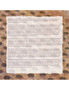up behind the clock on the mantelpiece and she took him down ten Woodbine and he said, "You know, I think I'd've cut her throat further if she'd asked!" He was that mad for cigarettes. And that was his payment, although he'd lost his can.

And there was, what I never knew in Darkley, there was flats. They must have been houses split in two, because my father told me – again, he gave the names, but the names have now left me. One old lady, she was angry with the ones downstairs, and she knew where the lamp hung in the ceiling. Remember, there was no electric. And she used to go to the exact spot where the lamp was, and she started to dance, and she'd have shouted, "Dancing o'er the lamp. Ha ha ha!" And the lamp would've been – you know, going up and down! Again, he gave me the names of the people, but I don't remember. He was full of stories, my father was. Well, if he was here he could give you far more, but they've left me now. I always felt depressed about the place, you know?

My father told me one time – it was Mr Calvert who owned the mill, and he was ill, and they had decided they wouldn't use the mill horn, so that it wouldn't annoy him, or wake him if he was sleeping. The horn must have blown at different times. So it wasn't being blown, and this old character – or maybe he wasn't so old at all! - but somebody said, "Why isn't the mill horn blowing?" And he said, "Mr Calvert's ill, and they're afraid of the devil finding out where he is!" Well, the old rascal recovered and he sacked that man! My father, again, could have given you his name.

And Johnny Ewart was the manager of the mill. He lived – I always believed until of late years that the real name of that row of houses was Quality Row, but it's not, it's Mountain View Terrace. But that was called Quality Row, because you've the manager and you've a Miss Russell, who was one of the secretaries in the mill – she was living in one of the houses, you know; you had people who had more money lived in those – they were bigger houses. But it was very, very tough times, you know, and like the people were exploited, they really were. But there it is. And it's still one of the places where the chimney's still standing.

When the mill closed, well, my uncle used to laugh because, you know, the mill houses were sold off what was it? – for three pounds, four pounds, you know. My father was friendly with a man called Conn, in the Breague, and his wife was from Darkley, and he says to my father one day, he says, "You and my wife needn't be blowing your loads 'cos you were both reared in five pound houses!" Oh, it was a joke, but it was true! It was just to make the sale legal and to give them to the people. Five pounds – there was no way - they were worth more than that!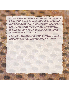My father was fond of all his Catholic neighbours and Protestant neighbours; it didn't matter to him. He spoke with great fondness of them all. So I don't know. Mr Clark – he was very fond of him – he was the schoolmaster. And then there used to be an evangelical meeting held; it was by a Canon Hogg. Now, he was no relation of ours, this Canon Hogg. And my grandfather must have been interested in that, and it was held in the old schoolroom in the evenings when, naturally, the school was closed for the evening. And he would have lit the fire for Canon Hogg so that he could have this evangelical meeting. He was Church of Ireland, naturally. And my father told me that Canon Hogg had one only daughter and she was very gifted, an opera singer, and he disowned her because she took to the stage; and many a time I would have loved to have know who she was or where she went. Canon Hogg had this one only daughter and he disowned her.

But anyway, my father, he just loved Darkley and he loved the people in Darkley, and my uncle was the same. They had great fondness for one another, seemingly. There never seemed to be any talk of Catholic or Protestant fighting with one another, or anything like that. They always seemed to help one another, you know. There was quite a spirit amongst them all, you know.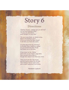### **Directions**

"Darkley House - please can you tell me? I'm lost and looking to find." "I'll give you directions, even though I'm only nine."

"Do you know there, by Molly's shop, Next to the Bullock Lane? Or do you know the New Road? It will take you there the same.

Or what about the big chimney? At Shuttle Row it stands so great. It's just beside the Dam Road that takes you to the lake.

Or go down by the 'Slither' and come out at Clarke's egg store, then up past Ginny Allen's, though she doesn't live there any more.

Then you'll see the 'big house' and the banks where we all slide. You'll always find an open door and a warm welcome to all inside.

Noeleen Leyburn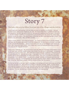#### This lady, who is in her fifties, lived just out of the village, and she told us:

I was brought up in Aughnagurgan, just over there; you see the trees there and McGills? Well, just the next house. I knew all the neighbours, oh, I did. We helped them gather in potatoes and the hay and everything. You didn't get paid for that, no - you were just neighbourly and that was it. All around us was all Protestant neighbours and mixed school and everything and, see, to this day I never heard anybody ridicule any religion. We were brought up like that; you didn't know anything else, y'know? The McGinns, they were lovely - Mary and Meta and Bob.

I went to Darkley School. I remember the teachers. Yes, there was Master McCall and Miss Rafferty was there, Mrs Renaghan and Jimmy Murphy from Granemore - he died there a while back - he came to take over from Mrs Renaghan. I started school at five year old; my Aunt Margaret took me and my sister, Mary Teresa and Josie Connor. Och, I trailed right round the lough and everywhere with them. They were all after boys and that was it.

I had a happy childhood, yes. We used to have to carry the water from the bottom of two fields for 'mummy for clean water, and then wheel creamery cans of water from the river for her to wash – no washing machines or anything in them days. We'd walk back to Darkley from the neighbours in the evening and you got a thrupenny bit – that was money then! It was great! And a Mrs Shortt lived up on the row in Darkley, and my Granny McDonald, she lived up at the quarry. We used to go in there at dinner time, because she'd be in with Mrs Shortt – we were smart enough – and Mrs Shortt would send me to the shop and she would say, "There's tuppence, get yourself a Lily Pop" as she called it. I always remember that. A Lily Pop. She meant a lollipop. And you had one of them, like, for a penny.

For food we had the normal, just - beans and potatoes and cabbage and bacon and turnips and all that. You never saw beef much. But, at Christmas there, we had turkey and that. Steak – mummy always done steak for Christmas morning; we had that and it was lovely for our breakfast. We had a garden where we had potatoes and all, and cattle and cows and all, and a pig. A pet pig! We used to ride about on his back. The cow, she died over in the rigs in the field. And things like that.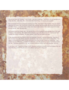Why did we have the Troubles? I don't know. I just don't know why. I just think it all over parades and things like that  $-$  both sides, like. I think that's the whole thing  $-$  if it was all just scrapped.

But I remember the B-men doing their practice in the field, down there in the meadow. And we used to walk down the Black Path, home from school in the evenings and they would stop and all, till we got up the Slither Steps. I remember them vividly, down there in that meadow down there doing their target practice and all, when we were kids.

My husband was from Keady, aye. He rode the bike up from Keady till Aughnagurgan there, and back to Keady in the evenings. We walked down to Keady to go to the pictures and all. Got the bus from Darkley into Keady sometimes. We were married, what, forty five years next year.

It was desperate when the Darkley church got attacked; I thought it was just desperate. See like all this nonsense now with all them dissident republicans, sure people doesn't want the like of that. The Queen coming and all, it's great for the community and all too, people mixing and everything. I just couldn't find any difference. I watched it on television. And her appearing in green for Ireland and all, too, like. That was a good thing, too. But I wouldn't bring the children up to be sectarian, not at all.

In the future, well, I hope this all stops, this ol' dissident nonsense so people can live in peace, like, and enjoy life and go where they like and not be afraid of going where they want.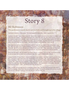### Mr Robinson

This gentleman is nearly ninety and was born and brought up in the village.

I was born in Darkley, in this house. The very house I'm in here now. I didn't travel too far.

I worked in the mill. I was a fitter in the mill. Textile fitter. I went to serve my time when I was fifteen and I was there till it closed. I have been working for fifty years, and I was only idle in four months. I was in the hospital twelve weeks actually. I was in for an operation and I was off for twelve weeks, and that's all the time I was off, excepting maybe a day or two. I got my holidays, you know, the same as everybody else in July and Christmas and Easter. I got them holidays, but for working, I never was off.

Well, there was nothing wrong with the mill to work in, but at the very start of it the money wasn't big, like. Well, the wages weren't great anywhere, I suppose. I know James Calvert's time - it was his time I was with. But the old man, he was a very difficult man to work with. There was a man one time came here to look for a job and he said, he thought that this man Calvert owned the air that you breathe!

When the mill closed, well, you weren't too happy about it, I suppose. In a way, like, it was handy to go to work so close and you had to go somewhere else, like. I went to Milford after it closed.

I went to Darkley Primary School. It was all the school I ever was at. And well, it was all right at its time, like. It was good, wasn't bad at all. But I started first in the old school, y'see, down in the front of the Main Road there. This one now is a new school. The old school was there in Main Street – that's where I started, like. There was three teachers. There was a Miss Russell, she had the infants. Maud Russell. I think they called her. And then there was a Miss McGurk - she had the third, fourth class. And then there was the Master  $-$  Clark  $-$  he had on up to five, six and seven.

Well, I wouldn't say we had a big lot of social life in those days. The only time I enjoyed it was when it would be snowing. When there was plenty of snow you had a sliding cart and you went out and enjoyed yourself on it. But you'd hardly go down the hills now with the traffic, like!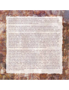On Saturdays at that time, there was a few other people, even Roman Catholic fellas as well as me, and we sometimes went down to Keady there of a Saturday evening. It would only have been a matter of walking round it, for I don't suppose you could have got the price of a fish supper between us all! Aye, we went for a bit of craic, just for a change, you know?

On Sundays, there was a bus from Darkley. Well, it was the chapel it took the people to. A bus, or two buses, took the chapel people for a long time, and some of the Church of Ireland people would have went down on the bus if the time suited them. But I walked it – there and back again – any time I went and I never missed, like. And even Sunday School, we had to walk it too, for Sunday School.

Sometimes I swam in the lake, I did indeed. The water came down from the lake - see in Darkley mill they had two turbines there, that were run with the water; and the race came down by and we used to bathe in the race. Y'see, it was really good - it was clean, it was flowing water all the time. Nowadays, the race would only be partly there, but y'see it's like everything else, the banks and all have got bad and the water could have got away since the mill was stopped. When the mill was going they were kept and fixed and the water came down. They were a good width, y'see, and a fair depth too. And there was an overflow – a by-wash, they used to call it – at Kelly Hughes's there, and if it was too high, it would have run over there and down into the Callan River, y'see. That was the race coming from the lake, that was Tullynawood. And when the mill was off at holiday time, they had to let two inches go over the by-wash all the time for to suit the mills on down the line.

There was no running water in the houses then. The clean water was carried from right down at the chimney there. And at that time, when it started first, it was just the one tap, and after a number of years, d'y'see, they piped it. There would nearly always have been a queue at the Spout. You'd have had to wait on your turn. But that was only for the clean water, now. But if you had to get water for to wash, people washing clothes or anything there, you could've went up a wee bit further and there was a path down into that race, there was a tree that went over and there was a place where you could've lifted the water, you could've lifted a bucket or two of water there, and you'd've carried from there then up home. That's the water for washing, now, that's not the water for drinking. But that water for drinking was great water – they had a well; it was a hundred feet deep – spring water. And that well, it's where the water went down, d'y'see, through and into the race, that's where the well was. And there was like a frame round it, nearly like a barrel, d'y'see, right round, and there was like a pipe come out of the centre of it there; that's where the water come up. Now if you had took a cup, you could've took a cup of that water out of that there. But you wouldn't have drunk it, I don't care how dry you were - it was like ice, it was great water!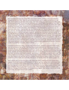But I remember that there was a Post Office down there in Darkley and there was a man called Bob Semple had the Post Office. Now, he was an ex-service man, but he started a grocery shop in it as well. And it's where it is yet; that's where it was. And it was a grand shop and a grand Post Office, well run and everything else. And he had a girl working for him, Cassie Feghan they called her, and Cassie could've done it  $-$  and did do it  $-$  as well as he, for if he was away anywhere, she looked after it just as well as if he'd been there. And as well as that shop being there, up the road there where Keenan's is now, there was another shop there, called Patterson's. The whole building's wiped away now, but there was a shop there – a grocer shop, too. And Patterson was in it. Tommy Patterson and his son, Ben, was in it. And they were there until the trade got bad and then the father died, and later on Ben had to quit, too, for it got not much good, I suppose. But from that, then people took over the Post Office after Bob Semple was there. The shop stayed on very good on up till the last, till they only had the Post Office. It's closed there now, too. And at that time there was several people up along – there was a wee woman had a shop - Kate Duffy; it was only in the house she had. She only had small items, like, but you could've got a drop of milk or you could've got a loaf if you had wanted it, for the bread-man come to her everyday too. The bread-man used to come with a big horse-drawn cart. And then there was some other people had wee shops too, and you couldn't've gone wrong for getting any at that time. Now you couldn't buy anything in this place. There's nothing!

It would be good to have a shop – but sure, they've tried it here. A shop's no good and I'll tell you for why, and you know as well as I do - they have these supermarkets now, and when you go into a supermarket now, you can get everything you want all under one roof. And they tried a shop here, and it wouldn't do, for in the first instance they couldn't work with the price. That was one of the things that was wrong. And then, as I tell ye, most of the people have cars now and they go out to the supermarket to get their stuff. And so the shop closed eventually. Aye, it's a pity it didn't work; we could do with a shop. But I tell ye, there's no such thing as running a shop in it now, because Keenan tried it there. Keenans took over after Patterson quit, and they had it for a number of years, but they couldn't make a go of it either. It done for a while all right, but it eventually went out too. It'd be the same if you started up again now.

Mind, wait till I tell ye, we are living here in this village here nearly a lifetime and at the present time, I suppose, there's not an awful lot of Protestants in it. But we can't say nothing; we're well enough done for. I'm not saying if a young person came in here, a stranger, I'm not saying they'd get as good attention, they may not be looked after as well, but as far as we're concerned, there's nobody interferes with us or bothers us; they'd do any help for us as we want. Good neighbours. We can't complain at all. Well now, I'm happy to live in Darkley, and I couldn't be any happier. And I tell ye, if I live to next month I'll be ninety. So I have come through wonderful.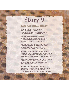### Story 9 **Life Around Darkley**

I grew up on a farm in South Armagh -Five girls, two boys, Ma and Da. Not far from the village of Darkley we were; A few mile over the hill, we were there.

Back in those days with not much money, We were still happy to play a game of footie. No designer clothes, all hand-me-downs, But it's not like now - no-one frowned.

Mountain Lodge Church up the road a few mile; Dad being the Pastor, he always wore a smile. People would come from near and far, Distance to problem when they had a car.

They came to the church and often to our home, Seeking for prayer – they were never off the phone. Dad prayed for them all, he had great faith in God. Many miracles happened but we have to trust God.

In the village of Darkley stands the big white house. Crossfire Trust is its name, there's no doubt. Ian Bothwell and Pauline answered the call, Many years ago now, give God their all.

They give of their time and give of their lives, To foresee in the future the needy people around. The house in Darkley is still open today; It's home away from home and there you can stay.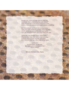People can come and take time to Chill Out And think "Well, what is my life really about?" With no purpose in life and no meaning to live, Within a friendly environment it just means everything.

So many people out there are hurting today, They just need someone to show them the way. Life for some people seems cruel and unfair -Let's get alongside them and show them we care.

God is the only answer in our world today, May we take more time out to read and pray. Leaving aside all your worries and fears, And God will hear us in the midst of our tears.

> **DARKLEY** A small place on the map But each one's important to Him **GOD CARES**

Minnie Morton (née Bain)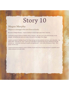### Megan Murphy

Megan is a teenager who now lives in Keady.

My name is Megan Murphy. I lived in Darkley for about eight years when I was five.

I remember going to school in Darkley which I enjoved. We use to sit on the wall and play on the footpath. Sometimes we went up to play in the park at the edge of the village.

I used to go down to Darkley House Fun Days and got my face painted, and there was a big slide – the Water Slide. That was fun! And I used to go to the Nite of Light that they had at Hallowe'en and get dressed up. I remember dunking the apples and getting wet. I met Jordan McGleenon there. He's ginger and he's fun!

I would recommend people to come to Darkley House and to the Fun Day because it's peaceful and it makes everyone love each other.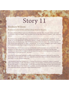### **Rodney Wilson**

#### Rodney is in his forties and has always lived in the area.

My name is Rodney Wilson. I grew up on the family farm with Dad, Mum, my sister Esther and Auntie Yvonne just 2 miles from Keady. Now I live there with my wife Hilary and our 3 children, Leah, David and Joshua

My childhood days are filled with happy memories of school life and helping Dad on the farm. I would go with him at any opportunity to the livestock markets in Keady and Newtownhamilton to buy cattle and pigs and often we enjoyed a cup of tea with the many farmers he knew there. The summer holidays were always busy making hay and silage, reseeding etc., but we always managed to get a family holiday to Portstewart for a few days in August before the new school year began.

The troubles were rife as I grew up and as my Granddad and Granny's farm was on the border I still remember the sights and sounds of the big green army saracens, the chopping of the helicopters overhead, the regular army checkpoints and the many news reports of shootings and bombings which unfortunately in those days became "the norm".

In the late 70's Dad looked seriously at selling up and moving to Scotland to farm, just as many of his friends and relatives had done. This never materialized and now I often wonder how different life would have been if we had relocated at that time.

I was blessed to have been brought up in a Christian home and as a young boy I came to a personal faith in Jesus Christ for myself. This decision would be the foundation, comfort and hope that would enable me at the age of 17 to face the days, months and years that would follow the dark night of November 20th, 1983 when Dad and his 2 friends were suddenly and unexpectedly taken into eternity by gunmen while attending a service at Mountain Lodge Pentecostal Church.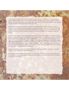I will always be grateful for the help and support we received from neighbours, friends and relatives which enabled Mum to carry on the farm business while I completed my studies in Queens University Belfast. We were always conscious of being carried by prayer from the many churches & prayer groups throughout the land and further afield in those dark days.

Since leaving university I have been working for The Ulster Farmers Union in Armagh. My job has enabled me to meet and do business with lots of people in the area. People who knew Dad often talk about his Godly character and how he always had time for everyone. He had many friends from both communities and I am often heartened by many of the stories they share with me while visiting their homes.

There are many "why's?" that remain unanswered and one that is often asked is - "Why kill innocent people in a place of worship?" And although I have many questions left unanswered I rest in one of the key principles of the Christian faith - that is "forgiveness". Jesus in the Bible taught us to pray using the Lord's Prayer. It contains the phrase "...forgive us this day our trespasses as we forgive those who trespass against us." I have found by dealing scripturally with the situations and problems in my life my painful experiences can make me better - not bitter. Today I enjoy the freedom that comes from the power of forgiveness and letting go of the past, whilst I will never forget Dad who gave his life that dark night, I have decided not to dwell there.

A favourite quotation of mine is by Eleanor Roosevelt - "Yesterday is History, Tomorrow is a Mystery, Today is a Gift - that's why we call it the present."

My thanks to lan and Pauline and Crossfire Trust for allowing me the opportunity of sharing this short story with you. I trust that you will be blessed and encouraged as you read it and find faith and hope in Jesus as Lord of your life.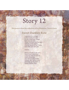This poem is from the collection of local historian, Trevor Geary.

### **Sweet Darkley Row**

I was born in a village in the County Armagh. It's the nicest wee village that ever you saw. Where the boys and the girls well they all do agree. And the dance to the Fiddle with mirth and with glee.

**Chorus** 

Here's a health to the girls. Here's one to the boys. Long may they be able to share others joys. And dance to the Fiddle through rain, hail or snow. And keep up the name of **Sweet Darkley Row.**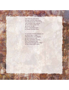The mill she doth work through out the long years. And these lovers in summer well dressed doth appear. As the walk by the river as lovers do go. From Tullnawood lake to Sweet Darkley Row.

In summer it would please you as you'd take a walk. The birds they are singing as the lovers do talk. By the river that's flowing from Tullnawood lake. As it flows through the valley<br>to the Callan doth make.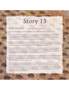### Dave Masters - An Englishman in Ireland

Dave has lived in South Armagh and worked at Darkley since moving from England in 2002.

Well, where to start? With hindsight I can see God's leading through every stage of my life. At the age of 47 I was declared redundant, which can be a scary thing, but I soon saw that this was essential to God's plan for my life. The opportunities that came out of this are things I would not want to have missed. Even the difficult learning times have paid off in the longer term.

In 1997 I had the opportunity to join a working party of twelve volunteers from Reading in England (my home town) to come and paint the outside of Darkley House. At the time that included the old stables and coach house, now replaced with luxury flats and business accommodation.

I was moved by what I saw here at Darkley and in the surrounding area of South Armagh. There was great physical need, and riches too if you knew the right people. There was also spiritual poverty, despite the great heritage of the various flavours of the church which I saw manifest in Armagh's two cathedrals and the local church where I worshipped occasionally in Darkley.

I noticed groups of people in the community who were not at peace with each other, despite professing to love the same Lord and Saviour, Jesus Christ. The passage of the Bible beginning at 1 Corinthians 1:10 warns us against divisions within the church. We must not let political differences or differences of faith come between us; Jesus is central to all.

I noticed a man in Crossmaglen recoil a clear 3 metres when I was introduced to him as an Englishman. Was there really that much fear in this community? I wanted to do something that would show him that we English were not as black as we had been painted in the past. Now I don't profess to be of same stuff as the biblical Paul but you will recall from Acts 16:9 that he had a vision of a man saying "Come over and help us". Well, I got the same sort of vision and God showed me over the next few years that He wanted me to "come over".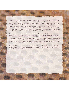I noticed a couple, Ian and Pauline Bothwell, who were putting their whole lives into helping to resolve these issues. God made it clear to my wife and myself that we needed to align ourselves with this work. So in 2002 we sold up our house in Reading and moved into South Armagh to work with Crossfire Trust. We've seen the work change and develop in the short time we've been here. It is a joy to see Crossfire Trust able to provide luxury accommodation for some of those who for whatever reason have fallen on hard times. For those who will put in the effort this is a huge step on the road back to a fulfilling place in the community. It is a joy to see the trust's new business units and to think how they will help Darkley and the surrounding area to get out of the current recession when the time comes.

On a personal level, God has confirmed that our decision to relocate to South Armagh was exactly what He wanted us to do. Shortly after our arrival here my wife was diagnosed with life threatening bowel cancer. If I had decided to remain in our comfortable life in Reading, and not relocate to our present address in South Armagh, our circumstances would have been such that the diagnosis would probably not have been made, let alone operated on with 24 hours notice! That was eight years ago and all indications are that she is now clear of the cancer. I don't always do what God tells me to but on this occasion I did and He has rewarded both of us for our obedience.

At the age of 66, we are now asking God what sort of retirement He has planned for us. Maybe this will involve a return to England – who knows? We have enjoyed our time serving the community here and trust that God will continue to bless you all.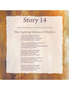Another poem from the collection of Trevor Geary.

### The Lighting Scheme of Darkley

They blow about the Shannon How it was a mighty scheme But the lighting scheme of Darkley Sure twas just as big a scream.

There is nothing there but cookers now And the meters and the like. For it's rumoured that the stones and grates Are all going out on strike.

The real old way of making tay Was always thought the best. Of hanging on the kettle Rinsing tay posts and the rest.

But now they switch the current on And the boyo starts to boil But they tell you up in Quality Row It's useless buying oil.

Some boys drop in from Keady Now and then to have a chat. For the Darkley girls are comely But I'll add no more to that.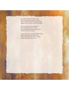It's a hilly road and loan some But they great you with a smile And an egg boiled there by electric<br>Makes your journey worth the while.

With all these new inventions Not knowing where to stop An enterprising smart young man Could open up a shop.

They could do a most amazing trade Selling cookers and what not. They say it pays like fish n' chips Strike while the iron is hot.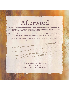### Afterword

We hope you have enjoyed the read, and perhaps by now you have started to think how we can prevent bad things happening in such a good, friendly, open space, where we all get on. but... Nevertheless, we allowed very bad things to happen.

We are grateful to the Community Relations Council, who read about this idea, thought it was a helpful community procedure and have assisted financially in the production.

If you would like to visit, volunteer or support this developing work... do get in touch and together we will enjoy the journey.

"A little bit out of the way for alot out of the ordinary." "I like going down to the Big House for a wee bargain." "I'm reluntant to go to Darkley House because I don't know who I would meet or what I would face in myself."

> **Thanks to Community Developer Keith Hamilton** for the idea to produce local stories.